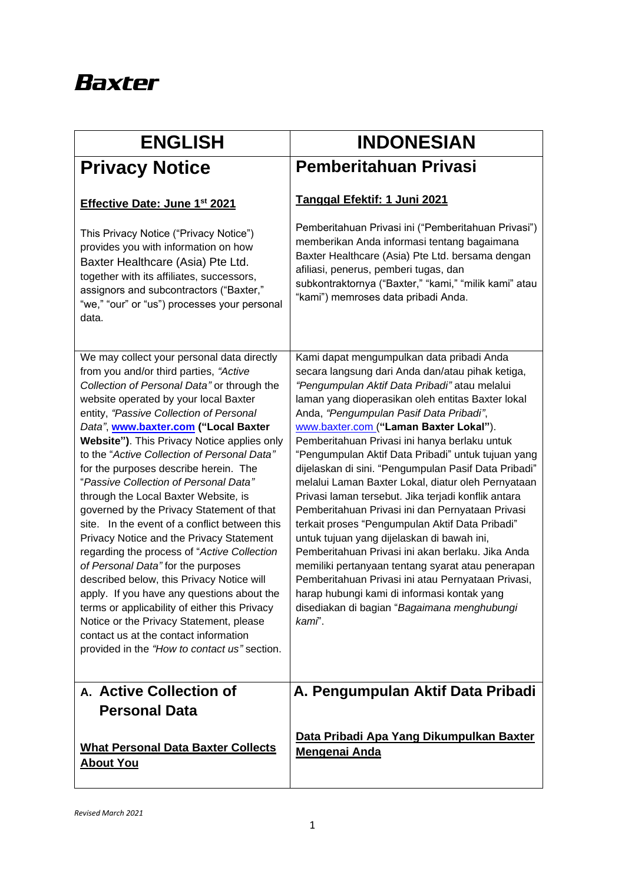## **Baxter**

| <b>ENGLISH</b>                                                                                                                                                                                                                                                                                                                                                                                                                                                                                                                                                                                                                                                                                                                                                                                                                                                                                                                                                                                         | <b>INDONESIAN</b>                                                                                                                                                                                                                                                                                                                                                                                                                                                                                                                                                                                                                                                                                                                                                                                                                                                                                                                                                                                 |
|--------------------------------------------------------------------------------------------------------------------------------------------------------------------------------------------------------------------------------------------------------------------------------------------------------------------------------------------------------------------------------------------------------------------------------------------------------------------------------------------------------------------------------------------------------------------------------------------------------------------------------------------------------------------------------------------------------------------------------------------------------------------------------------------------------------------------------------------------------------------------------------------------------------------------------------------------------------------------------------------------------|---------------------------------------------------------------------------------------------------------------------------------------------------------------------------------------------------------------------------------------------------------------------------------------------------------------------------------------------------------------------------------------------------------------------------------------------------------------------------------------------------------------------------------------------------------------------------------------------------------------------------------------------------------------------------------------------------------------------------------------------------------------------------------------------------------------------------------------------------------------------------------------------------------------------------------------------------------------------------------------------------|
| <b>Privacy Notice</b>                                                                                                                                                                                                                                                                                                                                                                                                                                                                                                                                                                                                                                                                                                                                                                                                                                                                                                                                                                                  | Pemberitahuan Privasi                                                                                                                                                                                                                                                                                                                                                                                                                                                                                                                                                                                                                                                                                                                                                                                                                                                                                                                                                                             |
| Effective Date: June 1st 2021                                                                                                                                                                                                                                                                                                                                                                                                                                                                                                                                                                                                                                                                                                                                                                                                                                                                                                                                                                          | Tanggal Efektif: 1 Juni 2021                                                                                                                                                                                                                                                                                                                                                                                                                                                                                                                                                                                                                                                                                                                                                                                                                                                                                                                                                                      |
| This Privacy Notice ("Privacy Notice")<br>provides you with information on how<br>Baxter Healthcare (Asia) Pte Ltd.<br>together with its affiliates, successors,<br>assignors and subcontractors ("Baxter,"<br>"we," "our" or "us") processes your personal<br>data.                                                                                                                                                                                                                                                                                                                                                                                                                                                                                                                                                                                                                                                                                                                                   | Pemberitahuan Privasi ini ("Pemberitahuan Privasi")<br>memberikan Anda informasi tentang bagaimana<br>Baxter Healthcare (Asia) Pte Ltd. bersama dengan<br>afiliasi, penerus, pemberi tugas, dan<br>subkontraktornya ("Baxter," "kami," "milik kami" atau<br>"kami") memroses data pribadi Anda.                                                                                                                                                                                                                                                                                                                                                                                                                                                                                                                                                                                                                                                                                                   |
| We may collect your personal data directly<br>from you and/or third parties, "Active<br>Collection of Personal Data" or through the<br>website operated by your local Baxter<br>entity, "Passive Collection of Personal<br>Data", www.baxter.com ("Local Baxter<br>Website"). This Privacy Notice applies only<br>to the "Active Collection of Personal Data"<br>for the purposes describe herein. The<br>"Passive Collection of Personal Data"<br>through the Local Baxter Website, is<br>governed by the Privacy Statement of that<br>site. In the event of a conflict between this<br>Privacy Notice and the Privacy Statement<br>regarding the process of "Active Collection<br>of Personal Data" for the purposes<br>described below, this Privacy Notice will<br>apply. If you have any questions about the<br>terms or applicability of either this Privacy<br>Notice or the Privacy Statement, please<br>contact us at the contact information<br>provided in the "How to contact us" section. | Kami dapat mengumpulkan data pribadi Anda<br>secara langsung dari Anda dan/atau pihak ketiga,<br>"Pengumpulan Aktif Data Pribadi" atau melalui<br>laman yang dioperasikan oleh entitas Baxter lokal<br>Anda, "Pengumpulan Pasif Data Pribadi",<br>www.baxter.com ("Laman Baxter Lokal").<br>Pemberitahuan Privasi ini hanya berlaku untuk<br>"Pengumpulan Aktif Data Pribadi" untuk tujuan yang<br>dijelaskan di sini. "Pengumpulan Pasif Data Pribadi"<br>melalui Laman Baxter Lokal, diatur oleh Pernyataan<br>Privasi laman tersebut. Jika terjadi konflik antara<br>Pemberitahuan Privasi ini dan Pernyataan Privasi<br>terkait proses "Pengumpulan Aktif Data Pribadi"<br>untuk tujuan yang dijelaskan di bawah ini,<br>Pemberitahuan Privasi ini akan berlaku. Jika Anda<br>memiliki pertanyaan tentang syarat atau penerapan<br>Pemberitahuan Privasi ini atau Pernyataan Privasi,<br>harap hubungi kami di informasi kontak yang<br>disediakan di bagian "Bagaimana menghubungi<br>kami". |
| A. Active Collection of                                                                                                                                                                                                                                                                                                                                                                                                                                                                                                                                                                                                                                                                                                                                                                                                                                                                                                                                                                                | A. Pengumpulan Aktif Data Pribadi                                                                                                                                                                                                                                                                                                                                                                                                                                                                                                                                                                                                                                                                                                                                                                                                                                                                                                                                                                 |
| <b>Personal Data</b><br><b>What Personal Data Baxter Collects</b><br><u>About You</u>                                                                                                                                                                                                                                                                                                                                                                                                                                                                                                                                                                                                                                                                                                                                                                                                                                                                                                                  | Data Pribadi Apa Yang Dikumpulkan Baxter<br><b>Mengenai Anda</b>                                                                                                                                                                                                                                                                                                                                                                                                                                                                                                                                                                                                                                                                                                                                                                                                                                                                                                                                  |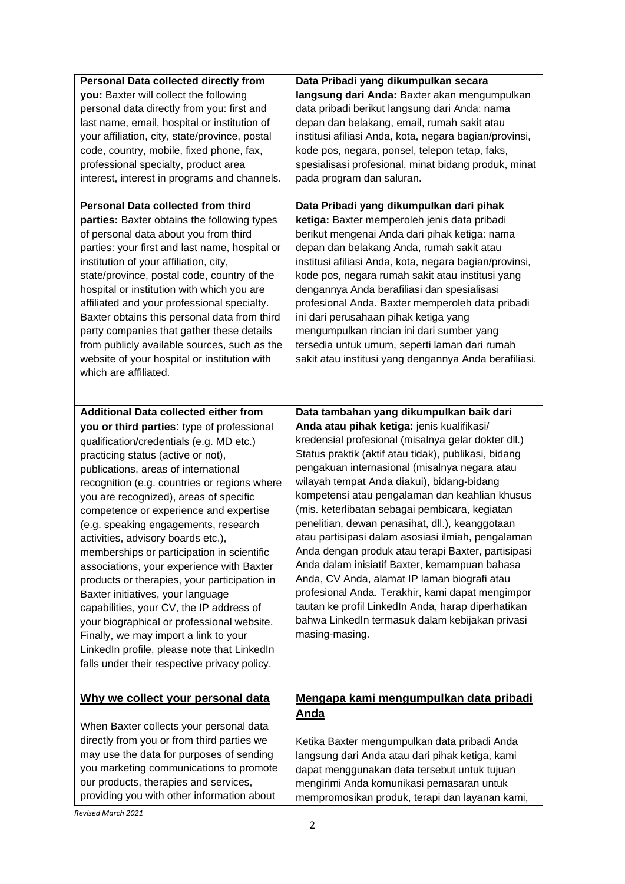| <b>Personal Data collected directly from</b><br>you: Baxter will collect the following<br>personal data directly from you: first and<br>last name, email, hospital or institution of<br>your affiliation, city, state/province, postal<br>code, country, mobile, fixed phone, fax,<br>professional specialty, product area<br>interest, interest in programs and channels.<br><b>Personal Data collected from third</b><br>parties: Baxter obtains the following types<br>of personal data about you from third<br>parties: your first and last name, hospital or<br>institution of your affiliation, city,<br>state/province, postal code, country of the<br>hospital or institution with which you are<br>affiliated and your professional specialty.<br>Baxter obtains this personal data from third<br>party companies that gather these details<br>from publicly available sources, such as the<br>website of your hospital or institution with<br>which are affiliated. | Data Pribadi yang dikumpulkan secara<br>langsung dari Anda: Baxter akan mengumpulkan<br>data pribadi berikut langsung dari Anda: nama<br>depan dan belakang, email, rumah sakit atau<br>institusi afiliasi Anda, kota, negara bagian/provinsi,<br>kode pos, negara, ponsel, telepon tetap, faks,<br>spesialisasi profesional, minat bidang produk, minat<br>pada program dan saluran.<br>Data Pribadi yang dikumpulkan dari pihak<br>ketiga: Baxter memperoleh jenis data pribadi<br>berikut mengenai Anda dari pihak ketiga: nama<br>depan dan belakang Anda, rumah sakit atau<br>institusi afiliasi Anda, kota, negara bagian/provinsi,<br>kode pos, negara rumah sakit atau institusi yang<br>dengannya Anda berafiliasi dan spesialisasi<br>profesional Anda. Baxter memperoleh data pribadi<br>ini dari perusahaan pihak ketiga yang<br>mengumpulkan rincian ini dari sumber yang<br>tersedia untuk umum, seperti laman dari rumah<br>sakit atau institusi yang dengannya Anda berafiliasi. |
|-------------------------------------------------------------------------------------------------------------------------------------------------------------------------------------------------------------------------------------------------------------------------------------------------------------------------------------------------------------------------------------------------------------------------------------------------------------------------------------------------------------------------------------------------------------------------------------------------------------------------------------------------------------------------------------------------------------------------------------------------------------------------------------------------------------------------------------------------------------------------------------------------------------------------------------------------------------------------------|--------------------------------------------------------------------------------------------------------------------------------------------------------------------------------------------------------------------------------------------------------------------------------------------------------------------------------------------------------------------------------------------------------------------------------------------------------------------------------------------------------------------------------------------------------------------------------------------------------------------------------------------------------------------------------------------------------------------------------------------------------------------------------------------------------------------------------------------------------------------------------------------------------------------------------------------------------------------------------------------------|
| <b>Additional Data collected either from</b><br>you or third parties: type of professional<br>qualification/credentials (e.g. MD etc.)<br>practicing status (active or not),<br>publications, areas of international<br>recognition (e.g. countries or regions where<br>you are recognized), areas of specific<br>competence or experience and expertise<br>(e.g. speaking engagements, research<br>activities, advisory boards etc.),<br>memberships or participation in scientific<br>associations, your experience with Baxter<br>products or therapies, your participation in<br>Baxter initiatives, your language<br>capabilities, your CV, the IP address of<br>your biographical or professional website.<br>Finally, we may import a link to your<br>LinkedIn profile, please note that LinkedIn<br>falls under their respective privacy policy.                                                                                                                      | Data tambahan yang dikumpulkan baik dari<br>Anda atau pihak ketiga: jenis kualifikasi/<br>kredensial profesional (misalnya gelar dokter dll.)<br>Status praktik (aktif atau tidak), publikasi, bidang<br>pengakuan internasional (misalnya negara atau<br>wilayah tempat Anda diakui), bidang-bidang<br>kompetensi atau pengalaman dan keahlian khusus<br>(mis. keterlibatan sebagai pembicara, kegiatan<br>penelitian, dewan penasihat, dll.), keanggotaan<br>atau partisipasi dalam asosiasi ilmiah, pengalaman<br>Anda dengan produk atau terapi Baxter, partisipasi<br>Anda dalam inisiatif Baxter, kemampuan bahasa<br>Anda, CV Anda, alamat IP laman biografi atau<br>profesional Anda. Terakhir, kami dapat mengimpor<br>tautan ke profil LinkedIn Anda, harap diperhatikan<br>bahwa LinkedIn termasuk dalam kebijakan privasi<br>masing-masing.                                                                                                                                          |
| Why we collect your personal data<br>When Baxter collects your personal data<br>directly from you or from third parties we<br>may use the data for purposes of sending<br>you marketing communications to promote<br>our products, therapies and services,<br>providing you with other information about                                                                                                                                                                                                                                                                                                                                                                                                                                                                                                                                                                                                                                                                      | Mengapa kami mengumpulkan data pribadi<br><u>Anda</u><br>Ketika Baxter mengumpulkan data pribadi Anda<br>langsung dari Anda atau dari pihak ketiga, kami<br>dapat menggunakan data tersebut untuk tujuan<br>mengirimi Anda komunikasi pemasaran untuk<br>mempromosikan produk, terapi dan layanan kami,                                                                                                                                                                                                                                                                                                                                                                                                                                                                                                                                                                                                                                                                                          |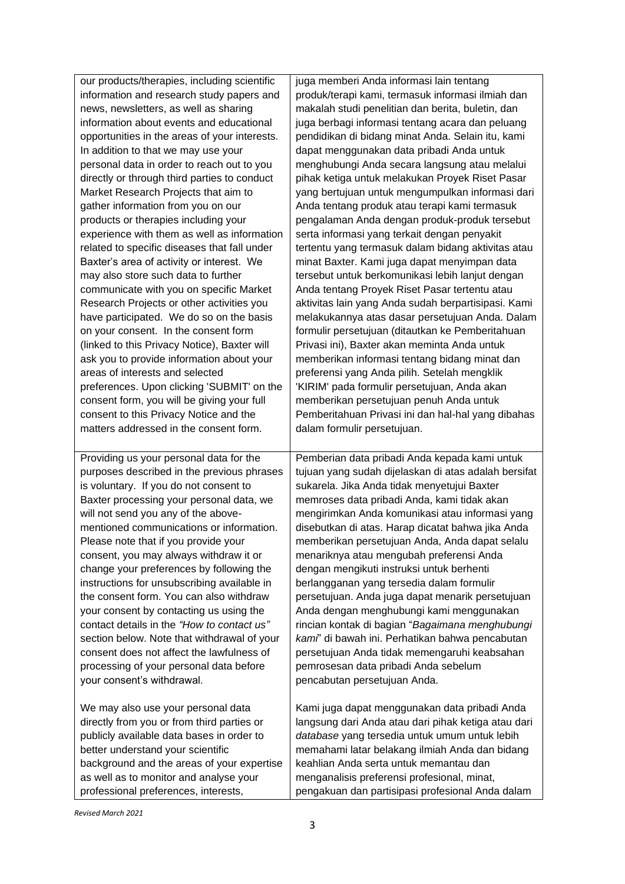| our products/therapies, including scientific  | juga memberi Anda informasi lain tentang             |
|-----------------------------------------------|------------------------------------------------------|
| information and research study papers and     | produk/terapi kami, termasuk informasi ilmiah dan    |
| news, newsletters, as well as sharing         | makalah studi penelitian dan berita, buletin, dan    |
| information about events and educational      | juga berbagi informasi tentang acara dan peluang     |
| opportunities in the areas of your interests. | pendidikan di bidang minat Anda. Selain itu, kami    |
| In addition to that we may use your           | dapat menggunakan data pribadi Anda untuk            |
| personal data in order to reach out to you    | menghubungi Anda secara langsung atau melalui        |
| directly or through third parties to conduct  | pihak ketiga untuk melakukan Proyek Riset Pasar      |
| Market Research Projects that aim to          | yang bertujuan untuk mengumpulkan informasi dari     |
| gather information from you on our            | Anda tentang produk atau terapi kami termasuk        |
| products or therapies including your          | pengalaman Anda dengan produk-produk tersebut        |
| experience with them as well as information   | serta informasi yang terkait dengan penyakit         |
| related to specific diseases that fall under  | tertentu yang termasuk dalam bidang aktivitas atau   |
| Baxter's area of activity or interest. We     | minat Baxter. Kami juga dapat menyimpan data         |
| may also store such data to further           | tersebut untuk berkomunikasi lebih lanjut dengan     |
| communicate with you on specific Market       | Anda tentang Proyek Riset Pasar tertentu atau        |
| Research Projects or other activities you     | aktivitas lain yang Anda sudah berpartisipasi. Kami  |
| have participated. We do so on the basis      | melakukannya atas dasar persetujuan Anda. Dalam      |
| on your consent. In the consent form          | formulir persetujuan (ditautkan ke Pemberitahuan     |
| (linked to this Privacy Notice), Baxter will  | Privasi ini), Baxter akan meminta Anda untuk         |
| ask you to provide information about your     | memberikan informasi tentang bidang minat dan        |
| areas of interests and selected               | preferensi yang Anda pilih. Setelah mengklik         |
| preferences. Upon clicking 'SUBMIT' on the    | 'KIRIM' pada formulir persetujuan, Anda akan         |
| consent form, you will be giving your full    | memberikan persetujuan penuh Anda untuk              |
| consent to this Privacy Notice and the        | Pemberitahuan Privasi ini dan hal-hal yang dibahas   |
| matters addressed in the consent form.        | dalam formulir persetujuan.                          |
| Providing us your personal data for the       | Pemberian data pribadi Anda kepada kami untuk        |
| purposes described in the previous phrases    | tujuan yang sudah dijelaskan di atas adalah bersifat |
| is voluntary. If you do not consent to        | sukarela. Jika Anda tidak menyetujui Baxter          |
| Baxter processing your personal data, we      | memroses data pribadi Anda, kami tidak akan          |
| will not send you any of the above-           | mengirimkan Anda komunikasi atau informasi yang      |
| mentioned communications or information.      | disebutkan di atas. Harap dicatat bahwa jika Anda    |
| Please note that if you provide your          | memberikan persetujuan Anda, Anda dapat selalu       |
| consent, you may always withdraw it or        | menariknya atau mengubah preferensi Anda             |
| change your preferences by following the      | dengan mengikuti instruksi untuk berhenti            |
| instructions for unsubscribing available in   | berlangganan yang tersedia dalam formulir            |
| the consent form. You can also withdraw       | persetujuan. Anda juga dapat menarik persetujuan     |
| your consent by contacting us using the       | Anda dengan menghubungi kami menggunakan             |
| contact details in the "How to contact us"    | rincian kontak di bagian "Bagaimana menghubungi      |
| section below. Note that withdrawal of your   | kami" di bawah ini. Perhatikan bahwa pencabutan      |
| consent does not affect the lawfulness of     | persetujuan Anda tidak memengaruhi keabsahan         |
| processing of your personal data before       | pemrosesan data pribadi Anda sebelum                 |
| your consent's withdrawal.                    | pencabutan persetujuan Anda.                         |
| We may also use your personal data            | Kami juga dapat menggunakan data pribadi Anda        |
| directly from you or from third parties or    | langsung dari Anda atau dari pihak ketiga atau dari  |
| publicly available data bases in order to     | database yang tersedia untuk umum untuk lebih        |
| better understand your scientific             | memahami latar belakang ilmiah Anda dan bidang       |
| background and the areas of your expertise    | keahlian Anda serta untuk memantau dan               |
| as well as to monitor and analyse your        | menganalisis preferensi profesional, minat,          |
| professional preferences, interests,          | pengakuan dan partisipasi profesional Anda dalam     |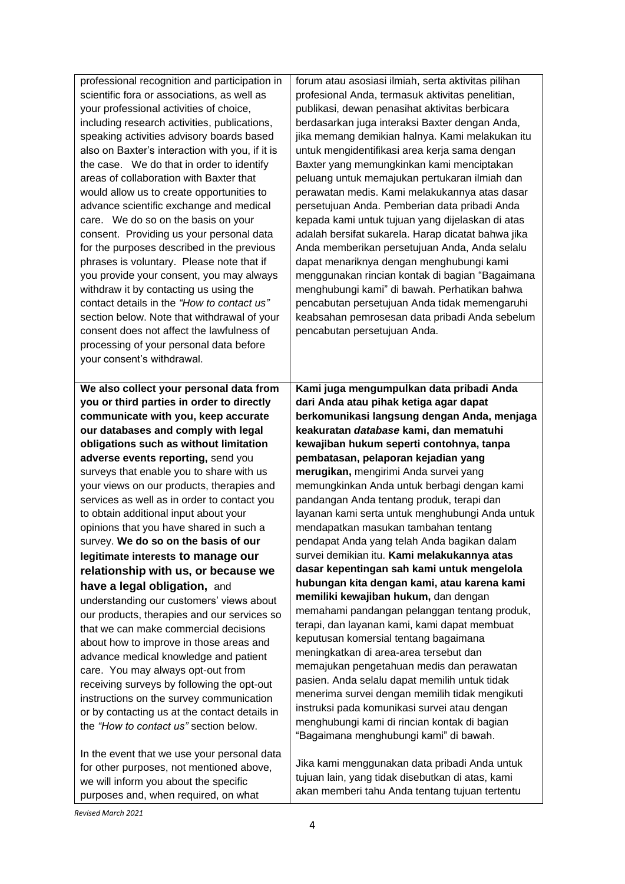| professional recognition and participation in   | forum atau asosiasi ilmiah, serta aktivitas pilihan                                                |
|-------------------------------------------------|----------------------------------------------------------------------------------------------------|
| scientific fora or associations, as well as     | profesional Anda, termasuk aktivitas penelitian,                                                   |
| your professional activities of choice,         | publikasi, dewan penasihat aktivitas berbicara                                                     |
| including research activities, publications,    | berdasarkan juga interaksi Baxter dengan Anda,                                                     |
| speaking activities advisory boards based       | jika memang demikian halnya. Kami melakukan itu                                                    |
| also on Baxter's interaction with you, if it is | untuk mengidentifikasi area kerja sama dengan                                                      |
| the case. We do that in order to identify       | Baxter yang memungkinkan kami menciptakan                                                          |
| areas of collaboration with Baxter that         | peluang untuk memajukan pertukaran ilmiah dan                                                      |
| would allow us to create opportunities to       | perawatan medis. Kami melakukannya atas dasar                                                      |
| advance scientific exchange and medical         | persetujuan Anda. Pemberian data pribadi Anda                                                      |
| care. We do so on the basis on your             | kepada kami untuk tujuan yang dijelaskan di atas                                                   |
| consent. Providing us your personal data        | adalah bersifat sukarela. Harap dicatat bahwa jika                                                 |
| for the purposes described in the previous      | Anda memberikan persetujuan Anda, Anda selalu                                                      |
| phrases is voluntary. Please note that if       | dapat menariknya dengan menghubungi kami                                                           |
| you provide your consent, you may always        | menggunakan rincian kontak di bagian "Bagaimana                                                    |
| withdraw it by contacting us using the          | menghubungi kami" di bawah. Perhatikan bahwa                                                       |
| contact details in the "How to contact us"      | pencabutan persetujuan Anda tidak memengaruhi                                                      |
| section below. Note that withdrawal of your     | keabsahan pemrosesan data pribadi Anda sebelum                                                     |
| consent does not affect the lawfulness of       | pencabutan persetujuan Anda.                                                                       |
| processing of your personal data before         |                                                                                                    |
| your consent's withdrawal.                      |                                                                                                    |
|                                                 |                                                                                                    |
| We also collect your personal data from         | Kami juga mengumpulkan data pribadi Anda                                                           |
| you or third parties in order to directly       | dari Anda atau pihak ketiga agar dapat                                                             |
| communicate with you, keep accurate             | berkomunikasi langsung dengan Anda, menjaga                                                        |
| our databases and comply with legal             | keakuratan database kami, dan mematuhi                                                             |
|                                                 |                                                                                                    |
| obligations such as without limitation          | kewajiban hukum seperti contohnya, tanpa                                                           |
| adverse events reporting, send you              | pembatasan, pelaporan kejadian yang                                                                |
| surveys that enable you to share with us        | merugikan, mengirimi Anda survei yang                                                              |
| your views on our products, therapies and       | memungkinkan Anda untuk berbagi dengan kami                                                        |
| services as well as in order to contact you     | pandangan Anda tentang produk, terapi dan                                                          |
| to obtain additional input about your           | layanan kami serta untuk menghubungi Anda untuk                                                    |
| opinions that you have shared in such a         | mendapatkan masukan tambahan tentang                                                               |
| survey. We do so on the basis of our            | pendapat Anda yang telah Anda bagikan dalam                                                        |
| legitimate interests to manage our              | survei demikian itu. Kami melakukannya atas                                                        |
| relationship with us, or because we             | dasar kepentingan sah kami untuk mengelola                                                         |
| have a legal obligation, and                    | hubungan kita dengan kami, atau karena kami<br>memiliki kewajiban hukum, dan dengan                |
| understanding our customers' views about        |                                                                                                    |
| our products, therapies and our services so     | memahami pandangan pelanggan tentang produk,<br>terapi, dan layanan kami, kami dapat membuat       |
| that we can make commercial decisions           | keputusan komersial tentang bagaimana                                                              |
| about how to improve in those areas and         | meningkatkan di area-area tersebut dan                                                             |
| advance medical knowledge and patient           | memajukan pengetahuan medis dan perawatan                                                          |
| care. You may always opt-out from               | pasien. Anda selalu dapat memilih untuk tidak                                                      |
| receiving surveys by following the opt-out      | menerima survei dengan memilih tidak mengikuti                                                     |
| instructions on the survey communication        | instruksi pada komunikasi survei atau dengan                                                       |
| or by contacting us at the contact details in   | menghubungi kami di rincian kontak di bagian                                                       |
| the "How to contact us" section below.          | "Bagaimana menghubungi kami" di bawah.                                                             |
| In the event that we use your personal data     |                                                                                                    |
| for other purposes, not mentioned above,        | Jika kami menggunakan data pribadi Anda untuk                                                      |
| we will inform you about the specific           | tujuan lain, yang tidak disebutkan di atas, kami<br>akan memberi tahu Anda tentang tujuan tertentu |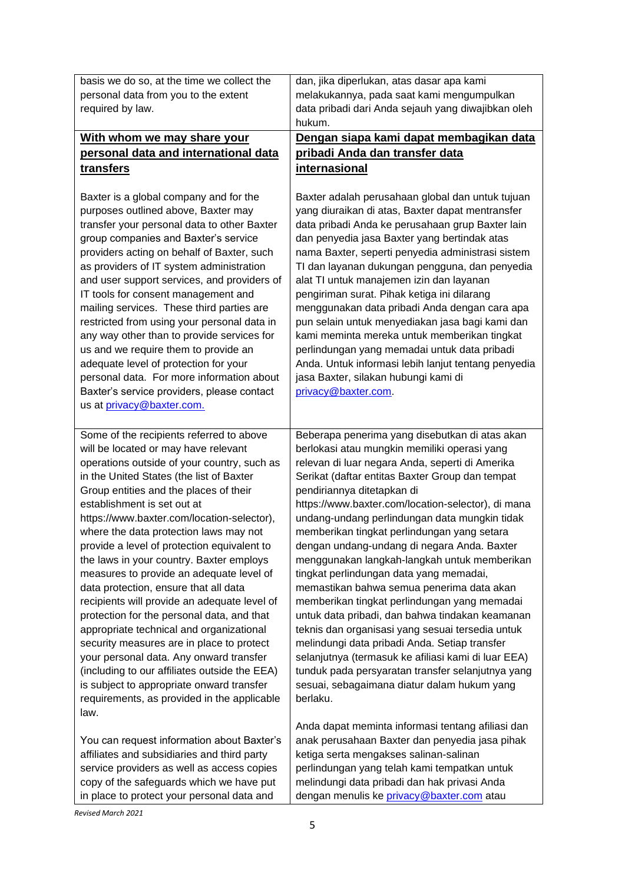| basis we do so, at the time we collect the                                                                                                                                                                                                                                                                                                                                                                                                                                                                                                                                                                                                                                                                                                                                                                                                                              | dan, jika diperlukan, atas dasar apa kami                                                                                                                                                                                                                                                                                                                                                                                                                                                                                                                                                                                                                                                                                                                                                                                                                                                                    |
|-------------------------------------------------------------------------------------------------------------------------------------------------------------------------------------------------------------------------------------------------------------------------------------------------------------------------------------------------------------------------------------------------------------------------------------------------------------------------------------------------------------------------------------------------------------------------------------------------------------------------------------------------------------------------------------------------------------------------------------------------------------------------------------------------------------------------------------------------------------------------|--------------------------------------------------------------------------------------------------------------------------------------------------------------------------------------------------------------------------------------------------------------------------------------------------------------------------------------------------------------------------------------------------------------------------------------------------------------------------------------------------------------------------------------------------------------------------------------------------------------------------------------------------------------------------------------------------------------------------------------------------------------------------------------------------------------------------------------------------------------------------------------------------------------|
| personal data from you to the extent                                                                                                                                                                                                                                                                                                                                                                                                                                                                                                                                                                                                                                                                                                                                                                                                                                    | melakukannya, pada saat kami mengumpulkan                                                                                                                                                                                                                                                                                                                                                                                                                                                                                                                                                                                                                                                                                                                                                                                                                                                                    |
| required by law.                                                                                                                                                                                                                                                                                                                                                                                                                                                                                                                                                                                                                                                                                                                                                                                                                                                        | data pribadi dari Anda sejauh yang diwajibkan oleh                                                                                                                                                                                                                                                                                                                                                                                                                                                                                                                                                                                                                                                                                                                                                                                                                                                           |
|                                                                                                                                                                                                                                                                                                                                                                                                                                                                                                                                                                                                                                                                                                                                                                                                                                                                         | hukum.                                                                                                                                                                                                                                                                                                                                                                                                                                                                                                                                                                                                                                                                                                                                                                                                                                                                                                       |
| With whom we may share your                                                                                                                                                                                                                                                                                                                                                                                                                                                                                                                                                                                                                                                                                                                                                                                                                                             | Dengan siapa kami dapat membagikan data                                                                                                                                                                                                                                                                                                                                                                                                                                                                                                                                                                                                                                                                                                                                                                                                                                                                      |
| personal data and international data                                                                                                                                                                                                                                                                                                                                                                                                                                                                                                                                                                                                                                                                                                                                                                                                                                    | pribadi Anda dan transfer data                                                                                                                                                                                                                                                                                                                                                                                                                                                                                                                                                                                                                                                                                                                                                                                                                                                                               |
| transfers                                                                                                                                                                                                                                                                                                                                                                                                                                                                                                                                                                                                                                                                                                                                                                                                                                                               | <b>internasional</b>                                                                                                                                                                                                                                                                                                                                                                                                                                                                                                                                                                                                                                                                                                                                                                                                                                                                                         |
| Baxter is a global company and for the<br>purposes outlined above, Baxter may<br>transfer your personal data to other Baxter<br>group companies and Baxter's service<br>providers acting on behalf of Baxter, such<br>as providers of IT system administration<br>and user support services, and providers of<br>IT tools for consent management and<br>mailing services. These third parties are<br>restricted from using your personal data in<br>any way other than to provide services for<br>us and we require them to provide an<br>adequate level of protection for your<br>personal data. For more information about<br>Baxter's service providers, please contact<br>us at privacy@baxter.com.                                                                                                                                                                 | Baxter adalah perusahaan global dan untuk tujuan<br>yang diuraikan di atas, Baxter dapat mentransfer<br>data pribadi Anda ke perusahaan grup Baxter lain<br>dan penyedia jasa Baxter yang bertindak atas<br>nama Baxter, seperti penyedia administrasi sistem<br>TI dan layanan dukungan pengguna, dan penyedia<br>alat TI untuk manajemen izin dan layanan<br>pengiriman surat. Pihak ketiga ini dilarang<br>menggunakan data pribadi Anda dengan cara apa<br>pun selain untuk menyediakan jasa bagi kami dan<br>kami meminta mereka untuk memberikan tingkat<br>perlindungan yang memadai untuk data pribadi<br>Anda. Untuk informasi lebih lanjut tentang penyedia<br>jasa Baxter, silakan hubungi kami di<br>privacy@baxter.com                                                                                                                                                                          |
| Some of the recipients referred to above                                                                                                                                                                                                                                                                                                                                                                                                                                                                                                                                                                                                                                                                                                                                                                                                                                | Beberapa penerima yang disebutkan di atas akan                                                                                                                                                                                                                                                                                                                                                                                                                                                                                                                                                                                                                                                                                                                                                                                                                                                               |
| will be located or may have relevant<br>operations outside of your country, such as<br>in the United States (the list of Baxter<br>Group entities and the places of their<br>establishment is set out at<br>https://www.baxter.com/location-selector),<br>where the data protection laws may not<br>provide a level of protection equivalent to<br>the laws in your country. Baxter employs<br>measures to provide an adequate level of<br>data protection, ensure that all data<br>recipients will provide an adequate level of<br>protection for the personal data, and that<br>appropriate technical and organizational<br>security measures are in place to protect<br>your personal data. Any onward transfer<br>(including to our affiliates outside the EEA)<br>is subject to appropriate onward transfer<br>requirements, as provided in the applicable<br>law. | berlokasi atau mungkin memiliki operasi yang<br>relevan di luar negara Anda, seperti di Amerika<br>Serikat (daftar entitas Baxter Group dan tempat<br>pendiriannya ditetapkan di<br>https://www.baxter.com/location-selector), di mana<br>undang-undang perlindungan data mungkin tidak<br>memberikan tingkat perlindungan yang setara<br>dengan undang-undang di negara Anda. Baxter<br>menggunakan langkah-langkah untuk memberikan<br>tingkat perlindungan data yang memadai,<br>memastikan bahwa semua penerima data akan<br>memberikan tingkat perlindungan yang memadai<br>untuk data pribadi, dan bahwa tindakan keamanan<br>teknis dan organisasi yang sesuai tersedia untuk<br>melindungi data pribadi Anda. Setiap transfer<br>selanjutnya (termasuk ke afiliasi kami di luar EEA)<br>tunduk pada persyaratan transfer selanjutnya yang<br>sesuai, sebagaimana diatur dalam hukum yang<br>berlaku. |
| You can request information about Baxter's<br>affiliates and subsidiaries and third party<br>service providers as well as access copies<br>copy of the safeguards which we have put<br>in place to protect your personal data and                                                                                                                                                                                                                                                                                                                                                                                                                                                                                                                                                                                                                                       | Anda dapat meminta informasi tentang afiliasi dan<br>anak perusahaan Baxter dan penyedia jasa pihak<br>ketiga serta mengakses salinan-salinan<br>perlindungan yang telah kami tempatkan untuk<br>melindungi data pribadi dan hak privasi Anda<br>dengan menulis ke privacy@baxter.com atau                                                                                                                                                                                                                                                                                                                                                                                                                                                                                                                                                                                                                   |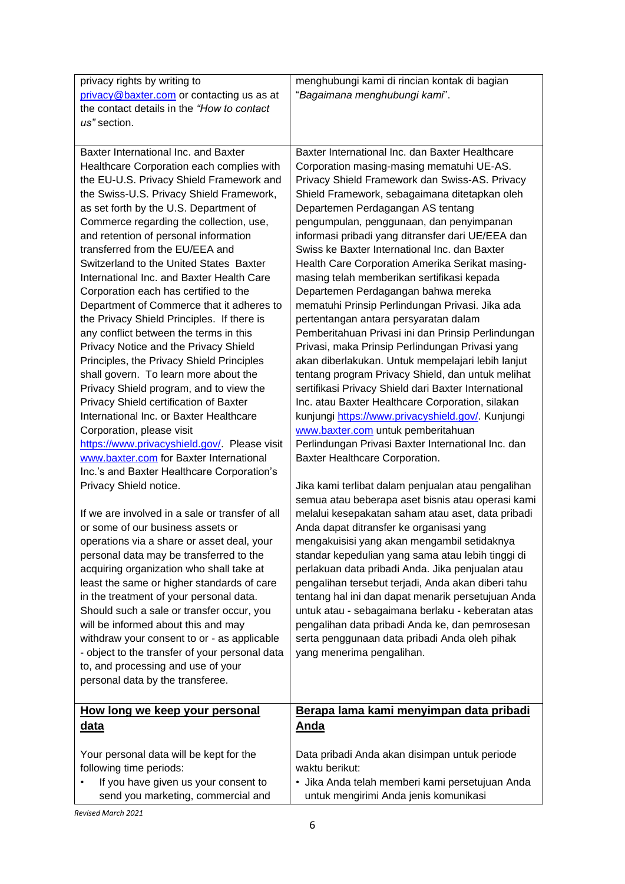| privacy rights by writing to                    | menghubungi kami di rincian kontak di bagian                                                            |
|-------------------------------------------------|---------------------------------------------------------------------------------------------------------|
| privacy@baxter.com or contacting us as at       | "Bagaimana menghubungi kami".                                                                           |
| the contact details in the "How to contact      |                                                                                                         |
| us" section.                                    |                                                                                                         |
|                                                 |                                                                                                         |
| Baxter International Inc. and Baxter            | Baxter International Inc. dan Baxter Healthcare                                                         |
| Healthcare Corporation each complies with       | Corporation masing-masing mematuhi UE-AS.                                                               |
| the EU-U.S. Privacy Shield Framework and        | Privacy Shield Framework dan Swiss-AS. Privacy                                                          |
| the Swiss-U.S. Privacy Shield Framework,        | Shield Framework, sebagaimana ditetapkan oleh                                                           |
| as set forth by the U.S. Department of          | Departemen Perdagangan AS tentang                                                                       |
| Commerce regarding the collection, use,         | pengumpulan, penggunaan, dan penyimpanan                                                                |
| and retention of personal information           | informasi pribadi yang ditransfer dari UE/EEA dan                                                       |
| transferred from the EU/EEA and                 | Swiss ke Baxter International Inc. dan Baxter                                                           |
| Switzerland to the United States Baxter         | Health Care Corporation Amerika Serikat masing-                                                         |
| International Inc. and Baxter Health Care       | masing telah memberikan sertifikasi kepada                                                              |
| Corporation each has certified to the           | Departemen Perdagangan bahwa mereka                                                                     |
| Department of Commerce that it adheres to       | mematuhi Prinsip Perlindungan Privasi. Jika ada                                                         |
| the Privacy Shield Principles. If there is      | pertentangan antara persyaratan dalam                                                                   |
| any conflict between the terms in this          | Pemberitahuan Privasi ini dan Prinsip Perlindungan                                                      |
| Privacy Notice and the Privacy Shield           | Privasi, maka Prinsip Perlindungan Privasi yang                                                         |
| Principles, the Privacy Shield Principles       | akan diberlakukan. Untuk mempelajari lebih lanjut                                                       |
| shall govern. To learn more about the           | tentang program Privacy Shield, dan untuk melihat                                                       |
| Privacy Shield program, and to view the         | sertifikasi Privacy Shield dari Baxter International                                                    |
| Privacy Shield certification of Baxter          | Inc. atau Baxter Healthcare Corporation, silakan                                                        |
| International Inc. or Baxter Healthcare         | kunjungi https://www.privacyshield.gov/ Kunjungi                                                        |
| Corporation, please visit                       | www.baxter.com untuk pemberitahuan                                                                      |
| https://www.privacyshield.gov/. Please visit    | Perlindungan Privasi Baxter International Inc. dan                                                      |
| www.baxter.com for Baxter International         | Baxter Healthcare Corporation.                                                                          |
| Inc.'s and Baxter Healthcare Corporation's      |                                                                                                         |
| Privacy Shield notice.                          | Jika kami terlibat dalam penjualan atau pengalihan<br>semua atau beberapa aset bisnis atau operasi kami |
| If we are involved in a sale or transfer of all | melalui kesepakatan saham atau aset, data pribadi                                                       |
| or some of our business assets or               | Anda dapat ditransfer ke organisasi yang                                                                |
| operations via a share or asset deal, your      | mengakuisisi yang akan mengambil setidaknya                                                             |
| personal data may be transferred to the         | standar kepedulian yang sama atau lebih tinggi di                                                       |
| acquiring organization who shall take at        | perlakuan data pribadi Anda. Jika penjualan atau                                                        |
| least the same or higher standards of care      | pengalihan tersebut terjadi, Anda akan diberi tahu                                                      |
| in the treatment of your personal data.         | tentang hal ini dan dapat menarik persetujuan Anda                                                      |
| Should such a sale or transfer occur, you       | untuk atau - sebagaimana berlaku - keberatan atas                                                       |
| will be informed about this and may             | pengalihan data pribadi Anda ke, dan pemrosesan                                                         |
| withdraw your consent to or - as applicable     | serta penggunaan data pribadi Anda oleh pihak                                                           |
| - object to the transfer of your personal data  | yang menerima pengalihan.                                                                               |
| to, and processing and use of your              |                                                                                                         |
| personal data by the transferee.                |                                                                                                         |
|                                                 |                                                                                                         |
| How long we keep your personal                  | Berapa lama kami menyimpan data pribadi                                                                 |
| <u>data</u>                                     | <b>Anda</b>                                                                                             |
|                                                 |                                                                                                         |
| Your personal data will be kept for the         | Data pribadi Anda akan disimpan untuk periode                                                           |
| following time periods:                         | waktu berikut:                                                                                          |
| If you have given us your consent to            | · Jika Anda telah memberi kami persetujuan Anda                                                         |
| send you marketing, commercial and              | untuk mengirimi Anda jenis komunikasi                                                                   |
|                                                 |                                                                                                         |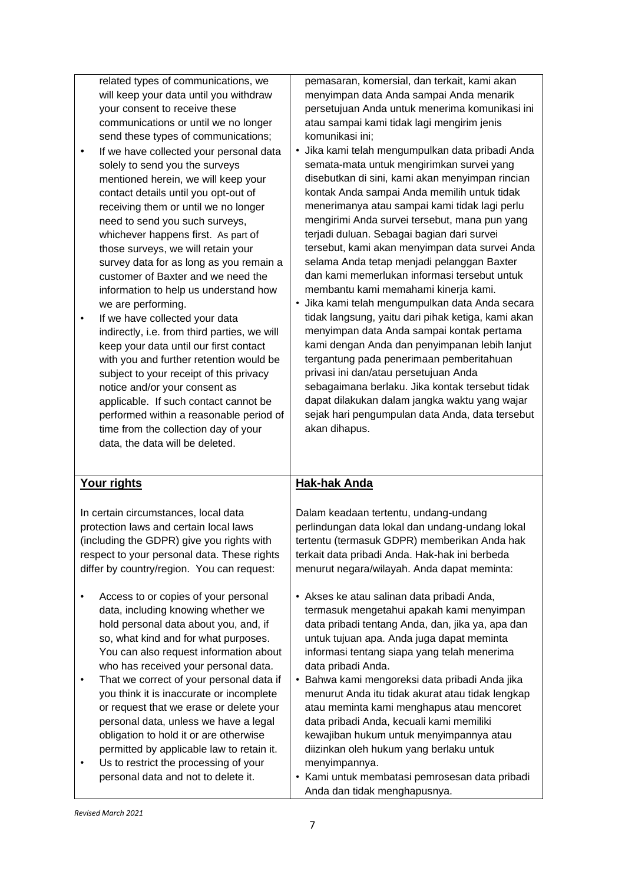related types of communications, we will keep your data until you withdraw your consent to receive these communications or until we no longer send these types of communications;

- If we have collected your personal data solely to send you the surveys mentioned herein, we will keep your contact details until you opt-out of receiving them or until we no longer need to send you such surveys, whichever happens first. As part of those surveys, we will retain your survey data for as long as you remain a customer of Baxter and we need the information to help us understand how we are performing.
- If we have collected your data indirectly, i.e. from third parties, we will keep your data until our first contact with you and further retention would be subject to your receipt of this privacy notice and/or your consent as applicable. If such contact cannot be performed within a reasonable period of time from the collection day of your data, the data will be deleted.

pemasaran, komersial, dan terkait, kami akan menyimpan data Anda sampai Anda menarik persetujuan Anda untuk menerima komunikasi ini atau sampai kami tidak lagi mengirim jenis komunikasi ini;

- Jika kami telah mengumpulkan data pribadi Anda semata-mata untuk mengirimkan survei yang disebutkan di sini, kami akan menyimpan rincian kontak Anda sampai Anda memilih untuk tidak menerimanya atau sampai kami tidak lagi perlu mengirimi Anda survei tersebut, mana pun yang terjadi duluan. Sebagai bagian dari survei tersebut, kami akan menyimpan data survei Anda selama Anda tetap menjadi pelanggan Baxter dan kami memerlukan informasi tersebut untuk membantu kami memahami kinerja kami.
- Jika kami telah mengumpulkan data Anda secara tidak langsung, yaitu dari pihak ketiga, kami akan menyimpan data Anda sampai kontak pertama kami dengan Anda dan penyimpanan lebih lanjut tergantung pada penerimaan pemberitahuan privasi ini dan/atau persetujuan Anda sebagaimana berlaku. Jika kontak tersebut tidak dapat dilakukan dalam jangka waktu yang wajar sejak hari pengumpulan data Anda, data tersebut akan dihapus.

## **Your rights**

In certain circumstances, local data protection laws and certain local laws (including the GDPR) give you rights with respect to your personal data. These rights differ by country/region. You can request:

- Access to or copies of your personal data, including knowing whether we hold personal data about you, and, if so, what kind and for what purposes. You can also request information about who has received your personal data.
- That we correct of your personal data if you think it is inaccurate or incomplete or request that we erase or delete your personal data, unless we have a legal obligation to hold it or are otherwise permitted by applicable law to retain it.
- Us to restrict the processing of your personal data and not to delete it.

## **Hak-hak Anda**

Dalam keadaan tertentu, undang-undang perlindungan data lokal dan undang-undang lokal tertentu (termasuk GDPR) memberikan Anda hak terkait data pribadi Anda. Hak-hak ini berbeda menurut negara/wilayah. Anda dapat meminta:

- Akses ke atau salinan data pribadi Anda, termasuk mengetahui apakah kami menyimpan data pribadi tentang Anda, dan, jika ya, apa dan untuk tujuan apa. Anda juga dapat meminta informasi tentang siapa yang telah menerima data pribadi Anda.
- Bahwa kami mengoreksi data pribadi Anda jika menurut Anda itu tidak akurat atau tidak lengkap atau meminta kami menghapus atau mencoret data pribadi Anda, kecuali kami memiliki kewajiban hukum untuk menyimpannya atau diizinkan oleh hukum yang berlaku untuk menyimpannya.
- Kami untuk membatasi pemrosesan data pribadi Anda dan tidak menghapusnya.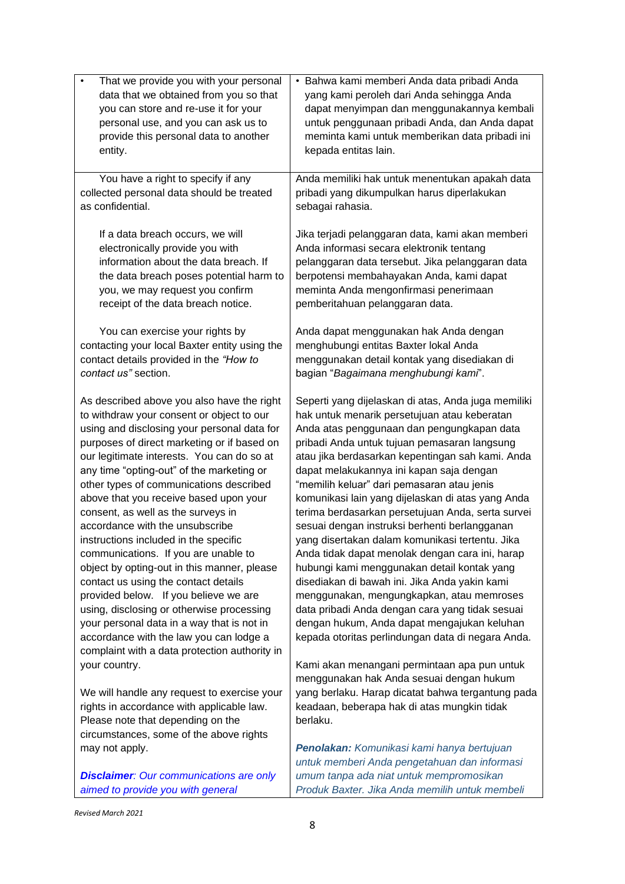| That we provide you with your personal<br>٠                                         | · Bahwa kami memberi Anda data pribadi Anda                                                  |
|-------------------------------------------------------------------------------------|----------------------------------------------------------------------------------------------|
| data that we obtained from you so that                                              | yang kami peroleh dari Anda sehingga Anda                                                    |
| you can store and re-use it for your                                                | dapat menyimpan dan menggunakannya kembali                                                   |
| personal use, and you can ask us to                                                 | untuk penggunaan pribadi Anda, dan Anda dapat                                                |
| provide this personal data to another                                               | meminta kami untuk memberikan data pribadi ini                                               |
| entity.                                                                             | kepada entitas lain.                                                                         |
|                                                                                     |                                                                                              |
| You have a right to specify if any                                                  | Anda memiliki hak untuk menentukan apakah data                                               |
| collected personal data should be treated                                           | pribadi yang dikumpulkan harus diperlakukan                                                  |
| as confidential.                                                                    | sebagai rahasia.                                                                             |
|                                                                                     |                                                                                              |
| If a data breach occurs, we will                                                    | Jika terjadi pelanggaran data, kami akan memberi                                             |
| electronically provide you with                                                     | Anda informasi secara elektronik tentang                                                     |
| information about the data breach. If                                               | pelanggaran data tersebut. Jika pelanggaran data                                             |
| the data breach poses potential harm to                                             | berpotensi membahayakan Anda, kami dapat                                                     |
| you, we may request you confirm                                                     | meminta Anda mengonfirmasi penerimaan                                                        |
| receipt of the data breach notice.                                                  | pemberitahuan pelanggaran data.                                                              |
|                                                                                     |                                                                                              |
| You can exercise your rights by                                                     | Anda dapat menggunakan hak Anda dengan                                                       |
| contacting your local Baxter entity using the                                       | menghubungi entitas Baxter lokal Anda                                                        |
| contact details provided in the "How to                                             | menggunakan detail kontak yang disediakan di                                                 |
| contact us" section.                                                                | bagian "Bagaimana menghubungi kami".                                                         |
|                                                                                     |                                                                                              |
| As described above you also have the right                                          | Seperti yang dijelaskan di atas, Anda juga memiliki                                          |
| to withdraw your consent or object to our                                           | hak untuk menarik persetujuan atau keberatan                                                 |
| using and disclosing your personal data for                                         | Anda atas penggunaan dan pengungkapan data                                                   |
| purposes of direct marketing or if based on                                         | pribadi Anda untuk tujuan pemasaran langsung                                                 |
| our legitimate interests. You can do so at                                          | atau jika berdasarkan kepentingan sah kami. Anda                                             |
| any time "opting-out" of the marketing or                                           | dapat melakukannya ini kapan saja dengan                                                     |
| other types of communications described                                             | "memilih keluar" dari pemasaran atau jenis                                                   |
| above that you receive based upon your                                              | komunikasi lain yang dijelaskan di atas yang Anda                                            |
| consent, as well as the surveys in                                                  | terima berdasarkan persetujuan Anda, serta survei                                            |
| accordance with the unsubscribe                                                     | sesuai dengan instruksi berhenti berlangganan                                                |
| instructions included in the specific                                               | yang disertakan dalam komunikasi tertentu. Jika                                              |
| communications. If you are unable to                                                | Anda tidak dapat menolak dengan cara ini, harap                                              |
|                                                                                     |                                                                                              |
| object by opting-out in this manner, please<br>contact us using the contact details | hubungi kami menggunakan detail kontak yang<br>disediakan di bawah ini. Jika Anda yakin kami |
|                                                                                     |                                                                                              |
| provided below. If you believe we are                                               | menggunakan, mengungkapkan, atau memroses                                                    |
| using, disclosing or otherwise processing                                           | data pribadi Anda dengan cara yang tidak sesuai                                              |
| your personal data in a way that is not in                                          | dengan hukum, Anda dapat mengajukan keluhan                                                  |
| accordance with the law you can lodge a                                             | kepada otoritas perlindungan data di negara Anda.                                            |
| complaint with a data protection authority in                                       |                                                                                              |
| your country.                                                                       | Kami akan menangani permintaan apa pun untuk                                                 |
|                                                                                     | menggunakan hak Anda sesuai dengan hukum                                                     |
| We will handle any request to exercise your                                         | yang berlaku. Harap dicatat bahwa tergantung pada                                            |
| rights in accordance with applicable law.                                           | keadaan, beberapa hak di atas mungkin tidak                                                  |
| Please note that depending on the                                                   | berlaku.                                                                                     |
| circumstances, some of the above rights                                             |                                                                                              |
| may not apply.                                                                      | Penolakan: Komunikasi kami hanya bertujuan                                                   |
|                                                                                     | untuk memberi Anda pengetahuan dan informasi                                                 |
| <b>Disclaimer:</b> Our communications are only                                      | umum tanpa ada niat untuk mempromosikan                                                      |
| aimed to provide you with general                                                   | Produk Baxter. Jika Anda memilih untuk membeli                                               |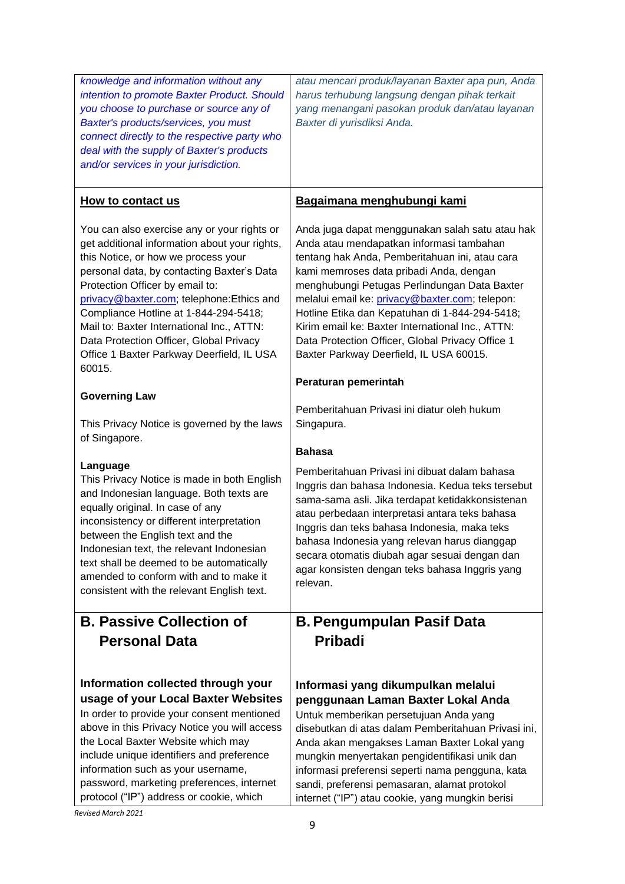| knowledge and information without any<br>intention to promote Baxter Product. Should<br>you choose to purchase or source any of<br>Baxter's products/services, you must<br>connect directly to the respective party who<br>deal with the supply of Baxter's products<br>and/or services in your jurisdiction.                                                                                                                                                                    | atau mencari produk/layanan Baxter apa pun, Anda<br>harus terhubung langsung dengan pihak terkait<br>yang menangani pasokan produk dan/atau layanan<br>Baxter di yurisdiksi Anda.                                                                                                                                                                                                                                                                                                                                       |
|----------------------------------------------------------------------------------------------------------------------------------------------------------------------------------------------------------------------------------------------------------------------------------------------------------------------------------------------------------------------------------------------------------------------------------------------------------------------------------|-------------------------------------------------------------------------------------------------------------------------------------------------------------------------------------------------------------------------------------------------------------------------------------------------------------------------------------------------------------------------------------------------------------------------------------------------------------------------------------------------------------------------|
| How to contact us                                                                                                                                                                                                                                                                                                                                                                                                                                                                | Bagaimana menghubungi kami                                                                                                                                                                                                                                                                                                                                                                                                                                                                                              |
| You can also exercise any or your rights or<br>get additional information about your rights,<br>this Notice, or how we process your<br>personal data, by contacting Baxter's Data<br>Protection Officer by email to:<br>privacy@baxter.com; telephone:Ethics and<br>Compliance Hotline at 1-844-294-5418;<br>Mail to: Baxter International Inc., ATTN:<br>Data Protection Officer, Global Privacy<br>Office 1 Baxter Parkway Deerfield, IL USA<br>60015.<br><b>Governing Law</b> | Anda juga dapat menggunakan salah satu atau hak<br>Anda atau mendapatkan informasi tambahan<br>tentang hak Anda, Pemberitahuan ini, atau cara<br>kami memroses data pribadi Anda, dengan<br>menghubungi Petugas Perlindungan Data Baxter<br>melalui email ke: privacy@baxter.com; telepon:<br>Hotline Etika dan Kepatuhan di 1-844-294-5418;<br>Kirim email ke: Baxter International Inc., ATTN:<br>Data Protection Officer, Global Privacy Office 1<br>Baxter Parkway Deerfield, IL USA 60015.<br>Peraturan pemerintah |
| This Privacy Notice is governed by the laws<br>of Singapore.                                                                                                                                                                                                                                                                                                                                                                                                                     | Pemberitahuan Privasi ini diatur oleh hukum<br>Singapura.                                                                                                                                                                                                                                                                                                                                                                                                                                                               |
|                                                                                                                                                                                                                                                                                                                                                                                                                                                                                  | <b>Bahasa</b>                                                                                                                                                                                                                                                                                                                                                                                                                                                                                                           |
| Language<br>This Privacy Notice is made in both English<br>and Indonesian language. Both texts are<br>equally original. In case of any<br>inconsistency or different interpretation<br>between the English text and the<br>Indonesian text, the relevant Indonesian<br>text shall be deemed to be automatically<br>amended to conform with and to make it<br>consistent with the relevant English text.                                                                          | Pemberitahuan Privasi ini dibuat dalam bahasa<br>Inggris dan bahasa Indonesia. Kedua teks tersebut<br>sama-sama asli. Jika terdapat ketidakkonsistenan<br>atau perbedaan interpretasi antara teks bahasa<br>Inggris dan teks bahasa Indonesia, maka teks<br>bahasa Indonesia yang relevan harus dianggap<br>secara otomatis diubah agar sesuai dengan dan<br>agar konsisten dengan teks bahasa Inggris yang<br>relevan.                                                                                                 |
| <b>B. Passive Collection of</b>                                                                                                                                                                                                                                                                                                                                                                                                                                                  | <b>B. Pengumpulan Pasif Data</b>                                                                                                                                                                                                                                                                                                                                                                                                                                                                                        |
| <b>Personal Data</b>                                                                                                                                                                                                                                                                                                                                                                                                                                                             | <b>Pribadi</b>                                                                                                                                                                                                                                                                                                                                                                                                                                                                                                          |
| Information collected through your<br>usage of your Local Baxter Websites<br>In order to provide your consent mentioned<br>above in this Privacy Notice you will access<br>the Local Baxter Website which may<br>include unique identifiers and preference<br>information such as your username,<br>password, marketing preferences, internet<br>protocol ("IP") address or cookie, which                                                                                        | Informasi yang dikumpulkan melalui<br>penggunaan Laman Baxter Lokal Anda<br>Untuk memberikan persetujuan Anda yang<br>disebutkan di atas dalam Pemberitahuan Privasi ini,<br>Anda akan mengakses Laman Baxter Lokal yang<br>mungkin menyertakan pengidentifikasi unik dan<br>informasi preferensi seperti nama pengguna, kata<br>sandi, preferensi pemasaran, alamat protokol<br>internet ("IP") atau cookie, yang mungkin berisi                                                                                       |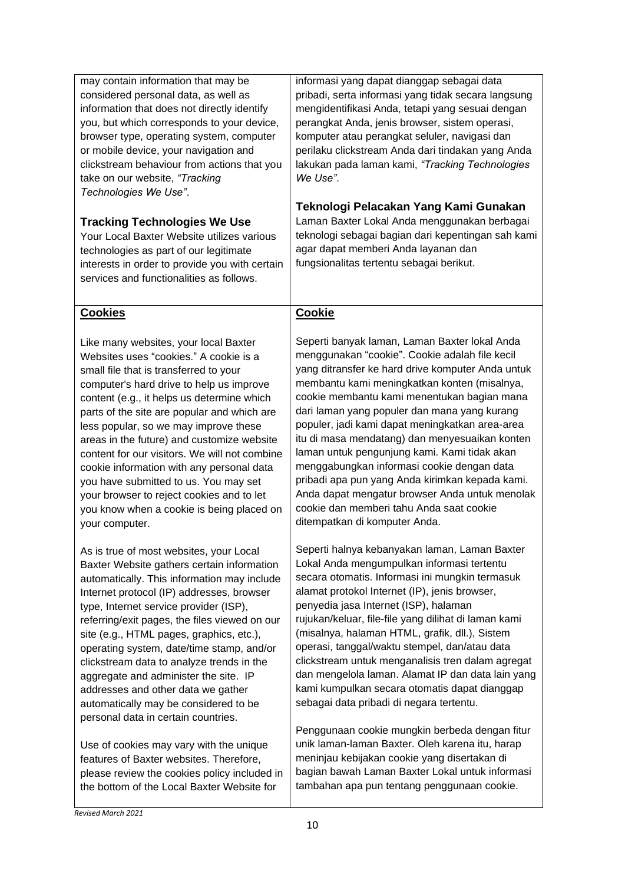| may contain information that may be<br>considered personal data, as well as<br>information that does not directly identify<br>you, but which corresponds to your device,<br>browser type, operating system, computer<br>or mobile device, your navigation and<br>clickstream behaviour from actions that you<br>take on our website, "Tracking<br>Technologies We Use".<br><b>Tracking Technologies We Use</b><br>Your Local Baxter Website utilizes various<br>technologies as part of our legitimate<br>interests in order to provide you with certain<br>services and functionalities as follows.         | informasi yang dapat dianggap sebagai data<br>pribadi, serta informasi yang tidak secara langsung<br>mengidentifikasi Anda, tetapi yang sesuai dengan<br>perangkat Anda, jenis browser, sistem operasi,<br>komputer atau perangkat seluler, navigasi dan<br>perilaku clickstream Anda dari tindakan yang Anda<br>lakukan pada laman kami, "Tracking Technologies<br>We Use".<br>Teknologi Pelacakan Yang Kami Gunakan<br>Laman Baxter Lokal Anda menggunakan berbagai<br>teknologi sebagai bagian dari kepentingan sah kami<br>agar dapat memberi Anda layanan dan<br>fungsionalitas tertentu sebagai berikut.                                                                           |
|--------------------------------------------------------------------------------------------------------------------------------------------------------------------------------------------------------------------------------------------------------------------------------------------------------------------------------------------------------------------------------------------------------------------------------------------------------------------------------------------------------------------------------------------------------------------------------------------------------------|------------------------------------------------------------------------------------------------------------------------------------------------------------------------------------------------------------------------------------------------------------------------------------------------------------------------------------------------------------------------------------------------------------------------------------------------------------------------------------------------------------------------------------------------------------------------------------------------------------------------------------------------------------------------------------------|
| <b>Cookies</b>                                                                                                                                                                                                                                                                                                                                                                                                                                                                                                                                                                                               | <b>Cookie</b>                                                                                                                                                                                                                                                                                                                                                                                                                                                                                                                                                                                                                                                                            |
| Like many websites, your local Baxter<br>Websites uses "cookies." A cookie is a<br>small file that is transferred to your<br>computer's hard drive to help us improve<br>content (e.g., it helps us determine which<br>parts of the site are popular and which are<br>less popular, so we may improve these<br>areas in the future) and customize website<br>content for our visitors. We will not combine<br>cookie information with any personal data<br>you have submitted to us. You may set<br>your browser to reject cookies and to let<br>you know when a cookie is being placed on<br>your computer. | Seperti banyak laman, Laman Baxter lokal Anda<br>menggunakan "cookie". Cookie adalah file kecil<br>yang ditransfer ke hard drive komputer Anda untuk<br>membantu kami meningkatkan konten (misalnya,<br>cookie membantu kami menentukan bagian mana<br>dari laman yang populer dan mana yang kurang<br>populer, jadi kami dapat meningkatkan area-area<br>itu di masa mendatang) dan menyesuaikan konten<br>laman untuk pengunjung kami. Kami tidak akan<br>menggabungkan informasi cookie dengan data<br>pribadi apa pun yang Anda kirimkan kepada kami.<br>Anda dapat mengatur browser Anda untuk menolak<br>cookie dan memberi tahu Anda saat cookie<br>ditempatkan di komputer Anda. |
| As is true of most websites, your Local<br>Baxter Website gathers certain information<br>automatically. This information may include<br>Internet protocol (IP) addresses, browser<br>type, Internet service provider (ISP),<br>referring/exit pages, the files viewed on our<br>site (e.g., HTML pages, graphics, etc.),<br>operating system, date/time stamp, and/or<br>clickstream data to analyze trends in the<br>aggregate and administer the site. IP<br>addresses and other data we gather<br>automatically may be considered to be<br>personal data in certain countries.                            | Seperti halnya kebanyakan laman, Laman Baxter<br>Lokal Anda mengumpulkan informasi tertentu<br>secara otomatis. Informasi ini mungkin termasuk<br>alamat protokol Internet (IP), jenis browser,<br>penyedia jasa Internet (ISP), halaman<br>rujukan/keluar, file-file yang dilihat di laman kami<br>(misalnya, halaman HTML, grafik, dll.), Sistem<br>operasi, tanggal/waktu stempel, dan/atau data<br>clickstream untuk menganalisis tren dalam agregat<br>dan mengelola laman. Alamat IP dan data lain yang<br>kami kumpulkan secara otomatis dapat dianggap<br>sebagai data pribadi di negara tertentu.                                                                               |
| Use of cookies may vary with the unique<br>features of Baxter websites. Therefore,<br>please review the cookies policy included in<br>the bottom of the Local Baxter Website for                                                                                                                                                                                                                                                                                                                                                                                                                             | Penggunaan cookie mungkin berbeda dengan fitur<br>unik laman-laman Baxter. Oleh karena itu, harap<br>meninjau kebijakan cookie yang disertakan di<br>bagian bawah Laman Baxter Lokal untuk informasi<br>tambahan apa pun tentang penggunaan cookie.                                                                                                                                                                                                                                                                                                                                                                                                                                      |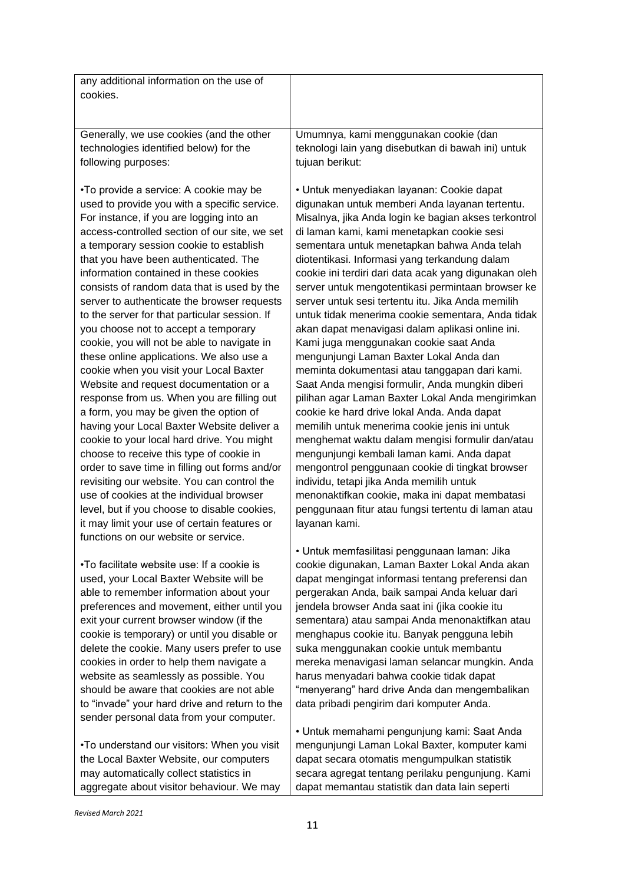| any additional information on the use of       |                                                       |
|------------------------------------------------|-------------------------------------------------------|
|                                                |                                                       |
| cookies.                                       |                                                       |
|                                                |                                                       |
| Generally, we use cookies (and the other       | Umumnya, kami menggunakan cookie (dan                 |
|                                                |                                                       |
| technologies identified below) for the         | teknologi lain yang disebutkan di bawah ini) untuk    |
| following purposes:                            | tujuan berikut:                                       |
|                                                |                                                       |
| •To provide a service: A cookie may be         | • Untuk menyediakan layanan: Cookie dapat             |
| used to provide you with a specific service.   | digunakan untuk memberi Anda layanan tertentu.        |
| For instance, if you are logging into an       | Misalnya, jika Anda login ke bagian akses terkontrol  |
| access-controlled section of our site, we set  | di laman kami, kami menetapkan cookie sesi            |
| a temporary session cookie to establish        | sementara untuk menetapkan bahwa Anda telah           |
| that you have been authenticated. The          | diotentikasi. Informasi yang terkandung dalam         |
| information contained in these cookies         | cookie ini terdiri dari data acak yang digunakan oleh |
| consists of random data that is used by the    | server untuk mengotentikasi permintaan browser ke     |
| server to authenticate the browser requests    | server untuk sesi tertentu itu. Jika Anda memilih     |
| to the server for that particular session. If  | untuk tidak menerima cookie sementara, Anda tidak     |
| you choose not to accept a temporary           | akan dapat menavigasi dalam aplikasi online ini.      |
| cookie, you will not be able to navigate in    | Kami juga menggunakan cookie saat Anda                |
| these online applications. We also use a       | mengunjungi Laman Baxter Lokal Anda dan               |
| cookie when you visit your Local Baxter        | meminta dokumentasi atau tanggapan dari kami.         |
| Website and request documentation or a         | Saat Anda mengisi formulir, Anda mungkin diberi       |
| response from us. When you are filling out     | pilihan agar Laman Baxter Lokal Anda mengirimkan      |
|                                                |                                                       |
| a form, you may be given the option of         | cookie ke hard drive lokal Anda. Anda dapat           |
| having your Local Baxter Website deliver a     | memilih untuk menerima cookie jenis ini untuk         |
| cookie to your local hard drive. You might     | menghemat waktu dalam mengisi formulir dan/atau       |
| choose to receive this type of cookie in       | mengunjungi kembali laman kami. Anda dapat            |
| order to save time in filling out forms and/or | mengontrol penggunaan cookie di tingkat browser       |
| revisiting our website. You can control the    | individu, tetapi jika Anda memilih untuk              |
| use of cookies at the individual browser       | menonaktifkan cookie, maka ini dapat membatasi        |
| level, but if you choose to disable cookies,   | penggunaan fitur atau fungsi tertentu di laman atau   |
| it may limit your use of certain features or   | layanan kami.                                         |
| functions on our website or service.           |                                                       |
|                                                | • Untuk memfasilitasi penggunaan laman: Jika          |
| •To facilitate website use: If a cookie is     | cookie digunakan, Laman Baxter Lokal Anda akan        |
| used, your Local Baxter Website will be        | dapat mengingat informasi tentang preferensi dan      |
| able to remember information about your        | pergerakan Anda, baik sampai Anda keluar dari         |
| preferences and movement, either until you     | jendela browser Anda saat ini (jika cookie itu        |
| exit your current browser window (if the       | sementara) atau sampai Anda menonaktifkan atau        |
| cookie is temporary) or until you disable or   | menghapus cookie itu. Banyak pengguna lebih           |
| delete the cookie. Many users prefer to use    | suka menggunakan cookie untuk membantu                |
| cookies in order to help them navigate a       | mereka menavigasi laman selancar mungkin. Anda        |
| website as seamlessly as possible. You         | harus menyadari bahwa cookie tidak dapat              |
| should be aware that cookies are not able      | "menyerang" hard drive Anda dan mengembalikan         |
| to "invade" your hard drive and return to the  | data pribadi pengirim dari komputer Anda.             |
| sender personal data from your computer.       |                                                       |
|                                                | • Untuk memahami pengunjung kami: Saat Anda           |
| .To understand our visitors: When you visit    | mengunjungi Laman Lokal Baxter, komputer kami         |
| the Local Baxter Website, our computers        | dapat secara otomatis mengumpulkan statistik          |
| may automatically collect statistics in        | secara agregat tentang perilaku pengunjung. Kami      |
|                                                |                                                       |

aggregate about visitor behaviour. We may

dapat memantau statistik dan data lain seperti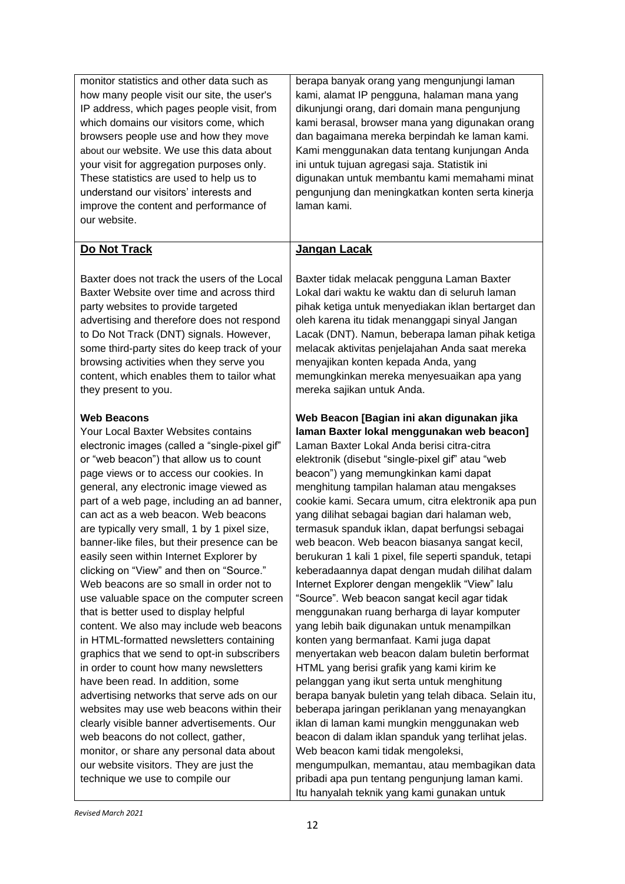| monitor statistics and other data such as<br>how many people visit our site, the user's<br>IP address, which pages people visit, from<br>which domains our visitors come, which<br>browsers people use and how they move<br>about our website. We use this data about<br>your visit for aggregation purposes only.<br>These statistics are used to help us to<br>understand our visitors' interests and<br>improve the content and performance of<br>our website.                                                                                                                                                                                                                                                                                                                                                                                                                                                                                                                                                                                                                                                                                                                              | berapa banyak orang yang mengunjungi laman<br>kami, alamat IP pengguna, halaman mana yang<br>dikunjungi orang, dari domain mana pengunjung<br>kami berasal, browser mana yang digunakan orang<br>dan bagaimana mereka berpindah ke laman kami.<br>Kami menggunakan data tentang kunjungan Anda<br>ini untuk tujuan agregasi saja. Statistik ini<br>digunakan untuk membantu kami memahami minat<br>pengunjung dan meningkatkan konten serta kinerja<br>laman kami.                                                                                                                                                                                                                                                                                                                                                                                                                                                                                                                                                                                                                                                                                                                                                                                                                                                                                                                                     |
|------------------------------------------------------------------------------------------------------------------------------------------------------------------------------------------------------------------------------------------------------------------------------------------------------------------------------------------------------------------------------------------------------------------------------------------------------------------------------------------------------------------------------------------------------------------------------------------------------------------------------------------------------------------------------------------------------------------------------------------------------------------------------------------------------------------------------------------------------------------------------------------------------------------------------------------------------------------------------------------------------------------------------------------------------------------------------------------------------------------------------------------------------------------------------------------------|--------------------------------------------------------------------------------------------------------------------------------------------------------------------------------------------------------------------------------------------------------------------------------------------------------------------------------------------------------------------------------------------------------------------------------------------------------------------------------------------------------------------------------------------------------------------------------------------------------------------------------------------------------------------------------------------------------------------------------------------------------------------------------------------------------------------------------------------------------------------------------------------------------------------------------------------------------------------------------------------------------------------------------------------------------------------------------------------------------------------------------------------------------------------------------------------------------------------------------------------------------------------------------------------------------------------------------------------------------------------------------------------------------|
| Do Not Track                                                                                                                                                                                                                                                                                                                                                                                                                                                                                                                                                                                                                                                                                                                                                                                                                                                                                                                                                                                                                                                                                                                                                                                   | <u>Jangan Lacak</u>                                                                                                                                                                                                                                                                                                                                                                                                                                                                                                                                                                                                                                                                                                                                                                                                                                                                                                                                                                                                                                                                                                                                                                                                                                                                                                                                                                                    |
| Baxter does not track the users of the Local<br>Baxter Website over time and across third<br>party websites to provide targeted<br>advertising and therefore does not respond<br>to Do Not Track (DNT) signals. However,<br>some third-party sites do keep track of your<br>browsing activities when they serve you<br>content, which enables them to tailor what<br>they present to you.                                                                                                                                                                                                                                                                                                                                                                                                                                                                                                                                                                                                                                                                                                                                                                                                      | Baxter tidak melacak pengguna Laman Baxter<br>Lokal dari waktu ke waktu dan di seluruh laman<br>pihak ketiga untuk menyediakan iklan bertarget dan<br>oleh karena itu tidak menanggapi sinyal Jangan<br>Lacak (DNT). Namun, beberapa laman pihak ketiga<br>melacak aktivitas penjelajahan Anda saat mereka<br>menyajikan konten kepada Anda, yang<br>memungkinkan mereka menyesuaikan apa yang<br>mereka sajikan untuk Anda.                                                                                                                                                                                                                                                                                                                                                                                                                                                                                                                                                                                                                                                                                                                                                                                                                                                                                                                                                                           |
| <b>Web Beacons</b><br>Your Local Baxter Websites contains<br>electronic images (called a "single-pixel gif"<br>or "web beacon") that allow us to count<br>page views or to access our cookies. In<br>general, any electronic image viewed as<br>part of a web page, including an ad banner,<br>can act as a web beacon. Web beacons<br>are typically very small, 1 by 1 pixel size,<br>banner-like files, but their presence can be<br>easily seen within Internet Explorer by<br>clicking on "View" and then on "Source."<br>Web beacons are so small in order not to<br>use valuable space on the computer screen<br>that is better used to display helpful<br>content. We also may include web beacons<br>in HTML-formatted newsletters containing<br>graphics that we send to opt-in subscribers<br>in order to count how many newsletters<br>have been read. In addition, some<br>advertising networks that serve ads on our<br>websites may use web beacons within their<br>clearly visible banner advertisements. Our<br>web beacons do not collect, gather,<br>monitor, or share any personal data about<br>our website visitors. They are just the<br>technique we use to compile our | Web Beacon [Bagian ini akan digunakan jika<br>laman Baxter lokal menggunakan web beacon]<br>Laman Baxter Lokal Anda berisi citra-citra<br>elektronik (disebut "single-pixel gif" atau "web<br>beacon") yang memungkinkan kami dapat<br>menghitung tampilan halaman atau mengakses<br>cookie kami. Secara umum, citra elektronik apa pun<br>yang dilihat sebagai bagian dari halaman web,<br>termasuk spanduk iklan, dapat berfungsi sebagai<br>web beacon. Web beacon biasanya sangat kecil,<br>berukuran 1 kali 1 pixel, file seperti spanduk, tetapi<br>keberadaannya dapat dengan mudah dilihat dalam<br>Internet Explorer dengan mengeklik "View" lalu<br>"Source". Web beacon sangat kecil agar tidak<br>menggunakan ruang berharga di layar komputer<br>yang lebih baik digunakan untuk menampilkan<br>konten yang bermanfaat. Kami juga dapat<br>menyertakan web beacon dalam buletin berformat<br>HTML yang berisi grafik yang kami kirim ke<br>pelanggan yang ikut serta untuk menghitung<br>berapa banyak buletin yang telah dibaca. Selain itu,<br>beberapa jaringan periklanan yang menayangkan<br>iklan di laman kami mungkin menggunakan web<br>beacon di dalam iklan spanduk yang terlihat jelas.<br>Web beacon kami tidak mengoleksi,<br>mengumpulkan, memantau, atau membagikan data<br>pribadi apa pun tentang pengunjung laman kami.<br>Itu hanyalah teknik yang kami gunakan untuk |